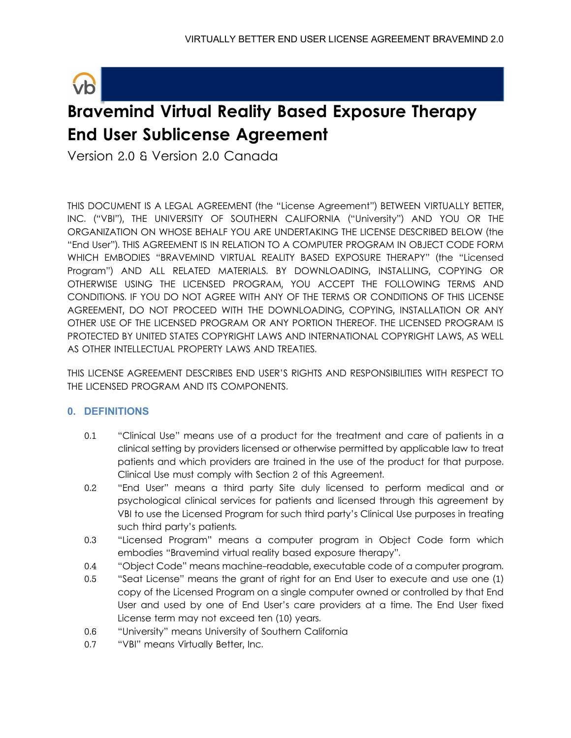

# **Bravemind Virtual Reality Based Exposure Therapy End User Sublicense Agreement**

Version 2.0 & Version 2.0 Canada

THIS DOCUMENT IS A LEGAL AGREEMENT (the "License Agreement") BETWEEN VIRTUALLY BETTER, INC. ("VBI"), THE UNIVERSITY OF SOUTHERN CALIFORNIA ("University") AND YOU OR THE ORGANIZATION ON WHOSE BEHALF YOU ARE UNDERTAKING THE LICENSE DESCRIBED BELOW (the "End User"). THIS AGREEMENT IS IN RELATION TO A COMPUTER PROGRAM IN OBJECT CODE FORM WHICH EMBODIES "BRAVEMIND VIRTUAL REALITY BASED EXPOSURE THERAPY" (the "Licensed Program") AND ALL RELATED MATERIALS. BY DOWNLOADING, INSTALLING, COPYING OR OTHERWISE USING THE LICENSED PROGRAM, YOU ACCEPT THE FOLLOWING TERMS AND CONDITIONS. IF YOU DO NOT AGREE WITH ANY OF THE TERMS OR CONDITIONS OF THIS LICENSE AGREEMENT, DO NOT PROCEED WITH THE DOWNLOADING, COPYING, INSTALLATION OR ANY OTHER USE OF THE LICENSED PROGRAM OR ANY PORTION THEREOF. THE LICENSED PROGRAM IS PROTECTED BY UNITED STATES COPYRIGHT LAWS AND INTERNATIONAL COPYRIGHT LAWS, AS WELL AS OTHER INTELLECTUAL PROPERTY LAWS AND TREATIES.

THIS LICENSE AGREEMENT DESCRIBES END USER'S RIGHTS AND RESPONSIBILITIES WITH RESPECT TO THE LICENSED PROGRAM AND ITS COMPONENTS.

# **0. DEFINITIONS**

- 0.1 "Clinical Use" means use of a product for the treatment and care of patients in a clinical setting by providers licensed or otherwise permitted by applicable law to treat patients and which providers are trained in the use of the product for that purpose. Clinical Use must comply with Section 2 of this Agreement.
- 0.2 "End User" means a third party Site duly licensed to perform medical and or psychological clinical services for patients and licensed through this agreement by VBI to use the Licensed Program for such third party's Clinical Use purposes in treating such third party's patients.
- 0.3 "Licensed Program" means a computer program in Object Code form which embodies "Bravemind virtual reality based exposure therapy".
- 0.4 "Object Code" means machine-readable, executable code of a computer program.
- 0.5 "Seat License" means the grant of right for an End User to execute and use one (1) copy of the Licensed Program on a single computer owned or controlled by that End User and used by one of End User's care providers at a time. The End User fixed License term may not exceed ten (10) years.
- 0.6 "University" means University of Southern California
- 0.7 "VBI" means Virtually Better, Inc.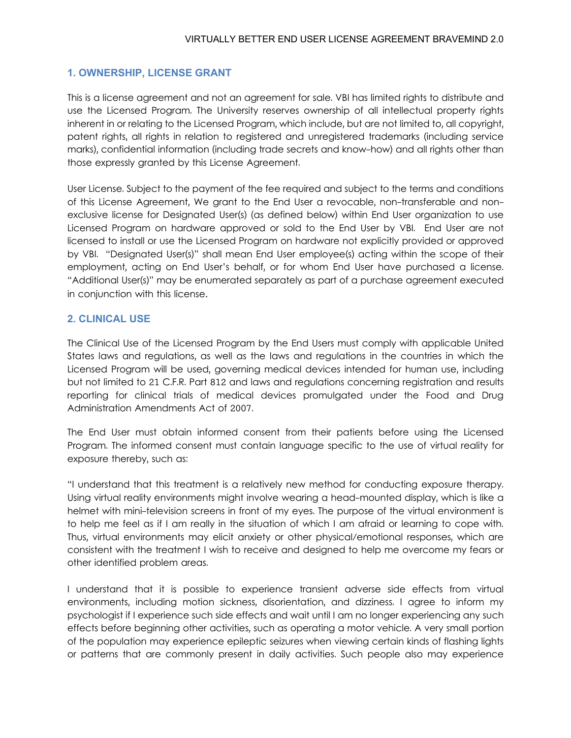## **1. OWNERSHIP, LICENSE GRANT**

This is a license agreement and not an agreement for sale. VBI has limited rights to distribute and use the Licensed Program. The University reserves ownership of all intellectual property rights inherent in or relating to the Licensed Program, which include, but are not limited to, all copyright, patent rights, all rights in relation to registered and unregistered trademarks (including service marks), confidential information (including trade secrets and know-how) and all rights other than those expressly granted by this License Agreement.

User License. Subject to the payment of the fee required and subject to the terms and conditions of this License Agreement, We grant to the End User a revocable, non-transferable and nonexclusive license for Designated User(s) (as defined below) within End User organization to use Licensed Program on hardware approved or sold to the End User by VBI. End User are not licensed to install or use the Licensed Program on hardware not explicitly provided or approved by VBI. "Designated User(s)" shall mean End User employee(s) acting within the scope of their employment, acting on End User's behalf, or for whom End User have purchased a license. "Additional User(s)" may be enumerated separately as part of a purchase agreement executed in conjunction with this license.

## **2. CLINICAL USE**

The Clinical Use of the Licensed Program by the End Users must comply with applicable United States laws and regulations, as well as the laws and regulations in the countries in which the Licensed Program will be used, governing medical devices intended for human use, including but not limited to 21 C.F.R. Part 812 and laws and regulations concerning registration and results reporting for clinical trials of medical devices promulgated under the Food and Drug Administration Amendments Act of 2007.

The End User must obtain informed consent from their patients before using the Licensed Program. The informed consent must contain language specific to the use of virtual reality for exposure thereby, such as:

"I understand that this treatment is a relatively new method for conducting exposure therapy. Using virtual reality environments might involve wearing a head-mounted display, which is like a helmet with mini-television screens in front of my eyes. The purpose of the virtual environment is to help me feel as if I am really in the situation of which I am afraid or learning to cope with. Thus, virtual environments may elicit anxiety or other physical/emotional responses, which are consistent with the treatment I wish to receive and designed to help me overcome my fears or other identified problem areas.

I understand that it is possible to experience transient adverse side effects from virtual environments, including motion sickness, disorientation, and dizziness. I agree to inform my psychologist if I experience such side effects and wait until I am no longer experiencing any such effects before beginning other activities, such as operating a motor vehicle. A very small portion of the population may experience epileptic seizures when viewing certain kinds of flashing lights or patterns that are commonly present in daily activities. Such people also may experience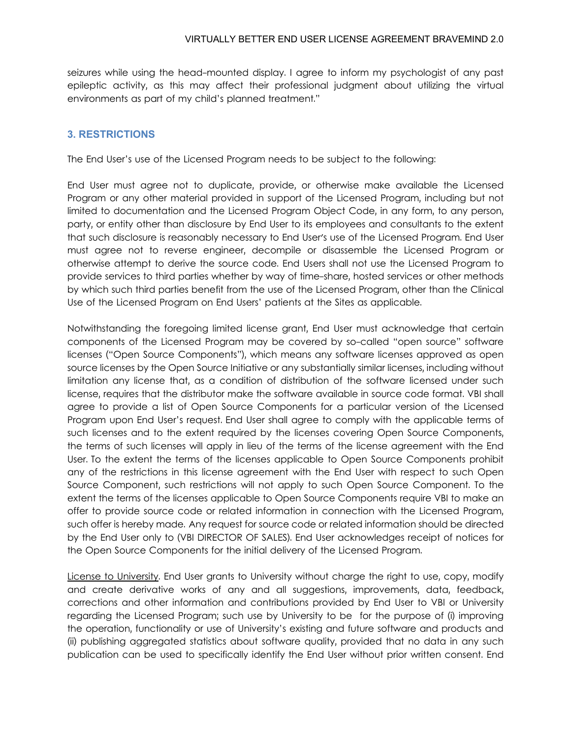seizures while using the head-mounted display. I agree to inform my psychologist of any past epileptic activity, as this may affect their professional judgment about utilizing the virtual environments as part of my child's planned treatment."

## **3. RESTRICTIONS**

The End User's use of the Licensed Program needs to be subject to the following:

End User must agree not to duplicate, provide, or otherwise make available the Licensed Program or any other material provided in support of the Licensed Program, including but not limited to documentation and the Licensed Program Object Code, in any form, to any person, party, or entity other than disclosure by End User to its employees and consultants to the extent that such disclosure is reasonably necessary to End User's use of the Licensed Program. End User must agree not to reverse engineer, decompile or disassemble the Licensed Program or otherwise attempt to derive the source code. End Users shall not use the Licensed Program to provide services to third parties whether by way of time-share, hosted services or other methods by which such third parties benefit from the use of the Licensed Program, other than the Clinical Use of the Licensed Program on End Users' patients at the Sites as applicable.

Notwithstanding the foregoing limited license grant, End User must acknowledge that certain components of the Licensed Program may be covered by so-called "open source" software licenses ("Open Source Components"), which means any software licenses approved as open source licenses by the Open Source Initiative or any substantially similar licenses, including without limitation any license that, as a condition of distribution of the software licensed under such license, requires that the distributor make the software available in source code format. VBI shall agree to provide a list of Open Source Components for a particular version of the Licensed Program upon End User's request. End User shall agree to comply with the applicable terms of such licenses and to the extent required by the licenses covering Open Source Components, the terms of such licenses will apply in lieu of the terms of the license agreement with the End User. To the extent the terms of the licenses applicable to Open Source Components prohibit any of the restrictions in this license agreement with the End User with respect to such Open Source Component, such restrictions will not apply to such Open Source Component. To the extent the terms of the licenses applicable to Open Source Components require VBI to make an offer to provide source code or related information in connection with the Licensed Program, such offer is hereby made. Any request for source code or related information should be directed by the End User only to (VBI DIRECTOR OF SALES). End User acknowledges receipt of notices for the Open Source Components for the initial delivery of the Licensed Program.

License to University. End User grants to University without charge the right to use, copy, modify and create derivative works of any and all suggestions, improvements, data, feedback, corrections and other information and contributions provided by End User to VBI or University regarding the Licensed Program; such use by University to be for the purpose of (i) improving the operation, functionality or use of University's existing and future software and products and (ii) publishing aggregated statistics about software quality, provided that no data in any such publication can be used to specifically identify the End User without prior written consent. End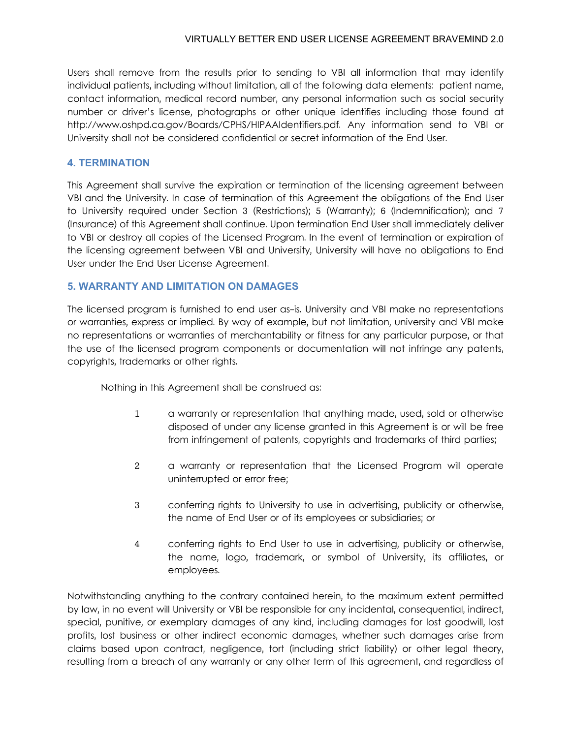Users shall remove from the results prior to sending to VBI all information that may identify individual patients, including without limitation, all of the following data elements: patient name, contact information, medical record number, any personal information such as social security number or driver's license, photographs or other unique identifies including those found at http://www.oshpd.ca.gov/Boards/CPHS/HIPAAIdentifiers.pdf. Any information send to VBI or University shall not be considered confidential or secret information of the End User.

# **4. TERMINATION**

This Agreement shall survive the expiration or termination of the licensing agreement between VBI and the University. In case of termination of this Agreement the obligations of the End User to University required under Section 3 (Restrictions); 5 (Warranty); 6 (Indemnification); and 7 (Insurance) of this Agreement shall continue. Upon termination End User shall immediately deliver to VBI or destroy all copies of the Licensed Program. In the event of termination or expiration of the licensing agreement between VBI and University, University will have no obligations to End User under the End User License Agreement.

# **5. WARRANTY AND LIMITATION ON DAMAGES**

The licensed program is furnished to end user as-is. University and VBI make no representations or warranties, express or implied. By way of example, but not limitation, university and VBI make no representations or warranties of merchantability or fitness for any particular purpose, or that the use of the licensed program components or documentation will not infringe any patents, copyrights, trademarks or other rights.

Nothing in this Agreement shall be construed as:

- 1 a warranty or representation that anything made, used, sold or otherwise disposed of under any license granted in this Agreement is or will be free from infringement of patents, copyrights and trademarks of third parties;
- 2 a warranty or representation that the Licensed Program will operate uninterrupted or error free;
- 3 conferring rights to University to use in advertising, publicity or otherwise, the name of End User or of its employees or subsidiaries; or
- 4 conferring rights to End User to use in advertising, publicity or otherwise, the name, logo, trademark, or symbol of University, its affiliates, or employees.

Notwithstanding anything to the contrary contained herein, to the maximum extent permitted by law, in no event will University or VBI be responsible for any incidental, consequential, indirect, special, punitive, or exemplary damages of any kind, including damages for lost goodwill, lost profits, lost business or other indirect economic damages, whether such damages arise from claims based upon contract, negligence, tort (including strict liability) or other legal theory, resulting from a breach of any warranty or any other term of this agreement, and regardless of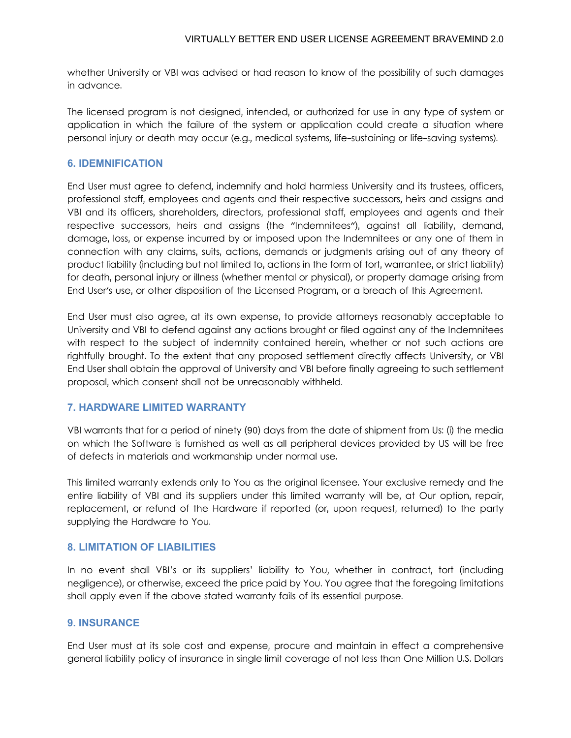whether University or VBI was advised or had reason to know of the possibility of such damages in advance.

The licensed program is not designed, intended, or authorized for use in any type of system or application in which the failure of the system or application could create a situation where personal injury or death may occur (e.g., medical systems, life-sustaining or life-saving systems).

#### **6. IDEMNIFICATION**

End User must agree to defend, indemnify and hold harmless University and its trustees, officers, professional staff, employees and agents and their respective successors, heirs and assigns and VBI and its officers, shareholders, directors, professional staff, employees and agents and their respective successors, heirs and assigns (the "Indemnitees"), against all liability, demand, damage, loss, or expense incurred by or imposed upon the Indemnitees or any one of them in connection with any claims, suits, actions, demands or judgments arising out of any theory of product liability (including but not limited to, actions in the form of tort, warrantee, or strict liability) for death, personal injury or illness (whether mental or physical), or property damage arising from End User's use, or other disposition of the Licensed Program, or a breach of this Agreement.

End User must also agree, at its own expense, to provide attorneys reasonably acceptable to University and VBI to defend against any actions brought or filed against any of the Indemnitees with respect to the subject of indemnity contained herein, whether or not such actions are rightfully brought. To the extent that any proposed settlement directly affects University, or VBI End User shall obtain the approval of University and VBI before finally agreeing to such settlement proposal, which consent shall not be unreasonably withheld.

# **7. HARDWARE LIMITED WARRANTY**

VBI warrants that for a period of ninety (90) days from the date of shipment from Us: (i) the media on which the Software is furnished as well as all peripheral devices provided by US will be free of defects in materials and workmanship under normal use.

This limited warranty extends only to You as the original licensee. Your exclusive remedy and the entire liability of VBI and its suppliers under this limited warranty will be, at Our option, repair, replacement, or refund of the Hardware if reported (or, upon request, returned) to the party supplying the Hardware to You.

#### **8. LIMITATION OF LIABILITIES**

In no event shall VBI's or its suppliers' liability to You, whether in contract, tort (including negligence), or otherwise, exceed the price paid by You. You agree that the foregoing limitations shall apply even if the above stated warranty fails of its essential purpose.

#### **9. INSURANCE**

End User must at its sole cost and expense, procure and maintain in effect a comprehensive general liability policy of insurance in single limit coverage of not less than One Million U.S. Dollars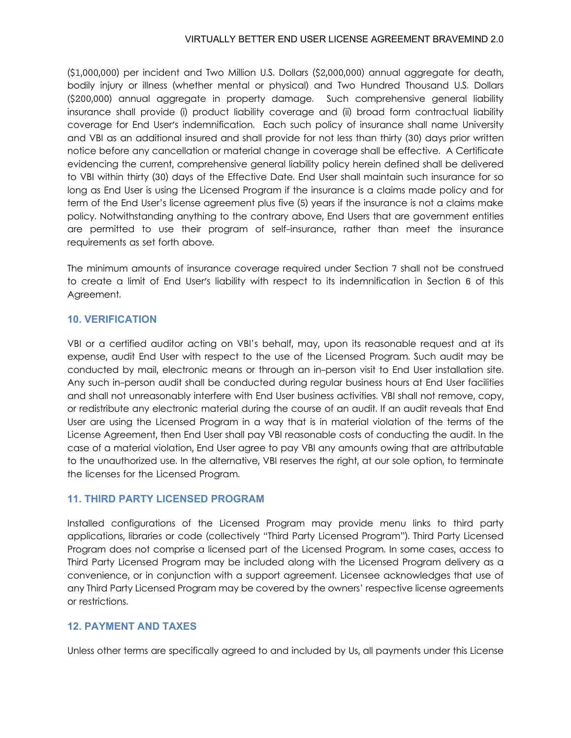## VIRTUALLY BETTER END USER LICENSE AGREEMENT BRAVEMIND 2.0

(\$1,000,000) per incident and Two Million U.S. Dollars (\$2,000,000) annual aggregate for death, bodily injury or illness (whether mental or physical) and Two Hundred Thousand U.S. Dollars (\$200,000) annual aggregate in property damage. Such comprehensive general liability insurance shall provide (i) product liability coverage and (ii) broad form contractual liability coverage for End User's indemnification. Each such policy of insurance shall name University and VBI as an additional insured and shall provide for not less than thirty (30) days prior written notice before any cancellation or material change in coverage shall be effective. A Certificate evidencing the current, comprehensive general liability policy herein defined shall be delivered to VBI within thirty (30) days of the Effective Date. End User shall maintain such insurance for so long as End User is using the Licensed Program if the insurance is a claims made policy and for term of the End User's license agreement plus five (5) years if the insurance is not a claims make policy. Notwithstanding anything to the contrary above, End Users that are government entities are permitted to use their program of self-insurance, rather than meet the insurance requirements as set forth above.

The minimum amounts of insurance coverage required under Section 7 shall not be construed to create a limit of End User's liability with respect to its indemnification in Section 6 of this Agreement.

# **10. VERIFICATION**

VBI or a certified auditor acting on VBI's behalf, may, upon its reasonable request and at its expense, audit End User with respect to the use of the Licensed Program. Such audit may be conducted by mail, electronic means or through an in-person visit to End User installation site. Any such in-person audit shall be conducted during regular business hours at End User facilities and shall not unreasonably interfere with End User business activities. VBI shall not remove, copy, or redistribute any electronic material during the course of an audit. If an audit reveals that End User are using the Licensed Program in a way that is in material violation of the terms of the License Agreement, then End User shall pay VBI reasonable costs of conducting the audit. In the case of a material violation, End User agree to pay VBI any amounts owing that are attributable to the unauthorized use. In the alternative, VBI reserves the right, at our sole option, to terminate the licenses for the Licensed Program.

# **11. THIRD PARTY LICENSED PROGRAM**

Installed configurations of the Licensed Program may provide menu links to third party applications, libraries or code (collectively "Third Party Licensed Program"). Third Party Licensed Program does not comprise a licensed part of the Licensed Program. In some cases, access to Third Party Licensed Program may be included along with the Licensed Program delivery as a convenience, or in conjunction with a support agreement. Licensee acknowledges that use of any Third Party Licensed Program may be covered by the owners' respective license agreements or restrictions.

# **12. PAYMENT AND TAXES**

Unless other terms are specifically agreed to and included by Us, all payments under this License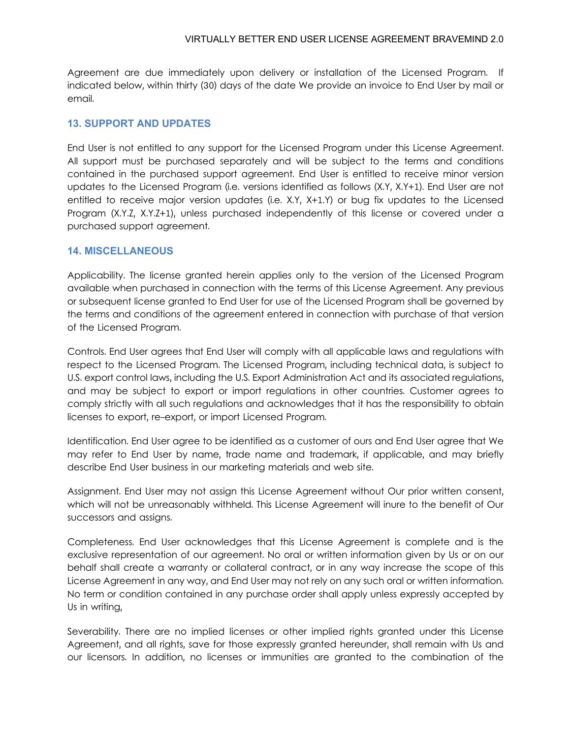Agreement are due immediately upon delivery or installation of the Licensed Program. If indicated below, within thirty (30) days of the date We provide an invoice to End User by mail or email.

## **13. SUPPORT AND UPDATES**

End User is not entitled to any support for the Licensed Program under this License Agreement. All support must be purchased separately and will be subject to the terms and conditions contained in the purchased support agreement. End User is entitled to receive minor version updates to the Licensed Program (i.e. versions identified as follows (X.Y, X.Y+1). End User are not entitled to receive major version updates (i.e. X.Y, X+1.Y) or bug fix updates to the Licensed Program (X.Y.Z, X.Y.Z+1), unless purchased independently of this license or covered under a purchased support agreement.

## **14. MISCELLANEOUS**

Applicability. The license granted herein applies only to the version of the Licensed Program available when purchased in connection with the terms of this License Agreement. Any previous or subsequent license granted to End User for use of the Licensed Program shall be governed by the terms and conditions of the agreement entered in connection with purchase of that version of the Licensed Program.

Controls. End User agrees that End User will comply with all applicable laws and regulations with respect to the Licensed Program. The Licensed Program, including technical data, is subject to U.S. export control laws, including the U.S. Export Administration Act and its associated regulations, and may be subject to export or import regulations in other countries. Customer agrees to comply strictly with all such regulations and acknowledges that it has the responsibility to obtain licenses to export, re-export, or import Licensed Program.

Identification. End User agree to be identified as a customer of ours and End User agree that We may refer to End User by name, trade name and trademark, if applicable, and may briefly describe End User business in our marketing materials and web site.

Assignment. End User may not assign this License Agreement without Our prior written consent, which will not be unreasonably withheld. This License Agreement will inure to the benefit of Our successors and assigns.

Completeness. End User acknowledges that this License Agreement is complete and is the exclusive representation of our agreement. No oral or written information given by Us or on our behalf shall create a warranty or collateral contract, or in any way increase the scope of this License Agreement in any way, and End User may not rely on any such oral or written information. No term or condition contained in any purchase order shall apply unless expressly accepted by Us in writing,

Severability. There are no implied licenses or other implied rights granted under this License Agreement, and all rights, save for those expressly granted hereunder, shall remain with Us and our licensors. In addition, no licenses or immunities are granted to the combination of the